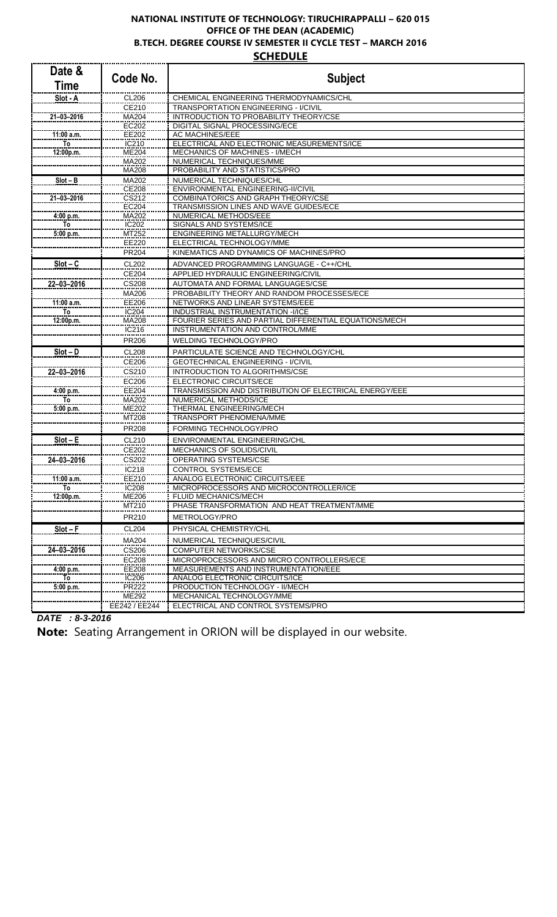## **NATIONAL INSTITUTE OF TECHNOLOGY: TIRUCHIRAPPALLI – 620 015 OFFICE OF THE DEAN (ACADEMIC) B.TECH. DEGREE COURSE IV SEMESTER II CYCLE TEST – MARCH 2016 SCHEDULE**

| Date &<br><b>Time</b> | Code No.              | <b>Subject</b>                                                                              |
|-----------------------|-----------------------|---------------------------------------------------------------------------------------------|
| Slot - A              | <b>CL206</b>          | CHEMICAL ENGINEERING THERMODYNAMICS/CHL                                                     |
|                       | CE210                 | TRANSPORTATION ENGINEERING - I/CIVIL                                                        |
| $21 - 03 - 2016$      | MA204                 | INTRODUCTION TO PROBABILITY THEORY/CSE                                                      |
|                       | EC202                 | DIGITAL SIGNAL PROCESSING/ECE                                                               |
| 11:00 a.m.            | EE202                 | AC MACHINES/EEE                                                                             |
| To                    | IC210<br><b>ME204</b> | ELECTRICAL AND ELECTRONIC MEASUREMENTS/ICE<br>MECHANICS OF MACHINES - I/MECH                |
| 12:00p.m.             | MA202                 | NUMERICAL TECHNIQUES/MME                                                                    |
|                       | MA208                 | PROBABILITY AND STATISTICS/PRO                                                              |
| $Slot - B$            | MA202                 | NUMERICAL TECHNIQUES/CHL                                                                    |
|                       | CE208                 | ENVIRONMENTAL ENGINEERING-II/CIVIL                                                          |
| $21 - 03 - 2016$      | CS212                 | COMBINATORICS AND GRAPH THEORY/CSE                                                          |
|                       | <b>EC204</b>          | TRANSMISSION LINES AND WAVE GUIDES/ECE                                                      |
| 4:00 p.m.             | MA202                 | NUMERICAL METHODS/EEE                                                                       |
| To                    | IC202                 | SIGNALS AND SYSTEMS/ICE                                                                     |
| 5:00 p.m.             | MT252                 | ENGINEERING METALLURGY/MECH                                                                 |
|                       | EE220                 | ELECTRICAL TECHNOLOGY/MME                                                                   |
|                       | PR204                 | KINEMATICS AND DYNAMICS OF MACHINES/PRO                                                     |
| $Slot - C$            | CL202                 | ADVANCED PROGRAMMING LANGUAGE - C++/CHL                                                     |
|                       | CE204                 | APPLIED HYDRAULIC ENGINEERING/CIVIL                                                         |
| 22-03-2016            | <b>CS208</b>          | AUTOMATA AND FORMAL LANGUAGES/CSE                                                           |
|                       | MA206                 | PROBABILITY THEORY AND RANDOM PROCESSES/ECE                                                 |
| 11:00 a.m.            | EE206                 | NETWORKS AND LINEAR SYSTEMS/EEE                                                             |
| To                    | IC204                 | INDUSTRIAL INSTRUMENTATION -I/ICE<br>FOURIER SERIES AND PARTIAL DIFFERENTIAL EQUATIONS/MECH |
| 12:00p.m.             | MA208<br>IC216        | INSTRUMENTATION AND CONTROL/MME                                                             |
|                       | PR206                 | WELDING TECHNOLOGY/PRO                                                                      |
|                       |                       |                                                                                             |
| $Slot - D$            | <b>CL208</b><br>CE206 | PARTICULATE SCIENCE AND TECHNOLOGY/CHL<br><b>GEOTECHNICAL ENGINEERING - I/CIVIL</b>         |
| 22-03-2016            | CS210                 | INTRODUCTION TO ALGORITHMS/CSE                                                              |
|                       | EC206                 | ELECTRONIC CIRCUITS/ECE                                                                     |
| 4:00 p.m.             | EE204                 | TRANSMISSION AND DISTRIBUTION OF ELECTRICAL ENERGY/EEE                                      |
| To                    | MA202                 | NUMERICAL METHODS/ICE                                                                       |
| 5:00 p.m.             | <b>ME202</b>          | THERMAL ENGINEERING/MECH                                                                    |
|                       | MT208                 | <b>TRANSPORT PHENOMENA/MME</b>                                                              |
|                       | PR208                 | <b>FORMING TECHNOLOGY/PRO</b>                                                               |
| $Slot - E$            | CL210                 | <b>ENVIRONMENTAL ENGINEERING/CHL</b>                                                        |
|                       | CE202                 | MECHANICS OF SOLIDS/CIVIL                                                                   |
| 24-03-2016            | CS202                 | OPERATING SYSTEMS/CSE                                                                       |
|                       | IC218                 | CONTROL SYSTEMS/ECE                                                                         |
| 11:00 a.m.            | EE210                 | ANALOG ELECTRONIC CIRCUITS/EEE                                                              |
| To                    | <b>IC208</b>          | MICROPROCESSORS AND MICROCONTROLLER/ICE                                                     |
| 12:00p.m.             | ME206                 | <b>FLUID MECHANICS/MECH</b>                                                                 |
|                       | MT210                 | PHASE TRANSFORMATION AND HEAT TREATMENT/MME                                                 |
|                       | PR210                 | METROLOGY/PRO                                                                               |
| $Slot - F$            | CL204                 | PHYSICAL CHEMISTRY/CHL                                                                      |
|                       | MA204                 | NUMERICAL TECHNIQUES/CIVIL                                                                  |
| 24-03-2016            | CS206                 | <b>COMPUTER NETWORKS/CSE</b>                                                                |
|                       | EC208                 | MICROPROCESSORS AND MICRO CONTROLLERS/ECE                                                   |
| 4:00 p.m.             | EE208                 | MEASUREMENTS AND INSTRUMENTATION/EEE                                                        |
| To                    | IC206                 | ANALOG ELECTRONIC CIRCUITS/ICE                                                              |
| 5:00 p.m.             | PR222                 | PRODUCTION TECHNOLOGY - II/MECH                                                             |
|                       | ME292                 | MECHANICAL TECHNOLOGY/MME                                                                   |
|                       | EE242 / EE244         | ELECTRICAL AND CONTROL SYSTEMS/PRO                                                          |

*DATE : 8-3-2016*

**Note:** Seating Arrangement in ORION will be displayed in our website.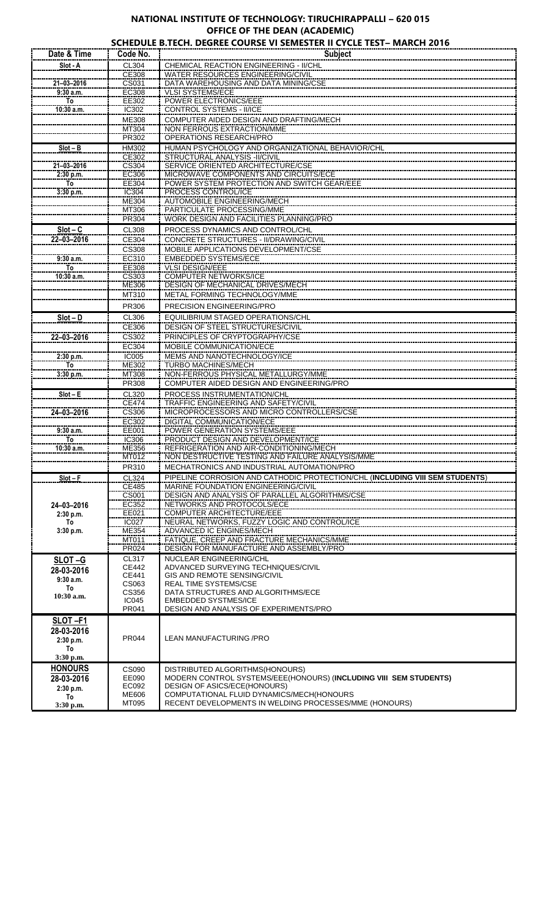## **NATIONAL INSTITUTE OF TECHNOLOGY: TIRUCHIRAPPALLI – 620 015 OFFICE OF THE DEAN (ACADEMIC)**

|                 |                       | SCHEDULE B.TECH. DEGREE COURSE VI SEMESTER II CYCLE TEST- MARCH 2016                                                |
|-----------------|-----------------------|---------------------------------------------------------------------------------------------------------------------|
| Date & Time     | Code No.              | <b>Subject</b>                                                                                                      |
| Slot - A        | CL304                 | CHEMICAL REACTION ENGINEERING - II/CHL                                                                              |
|                 | CE308                 | WATER RESOURCES ENGINEERING/CIVIL                                                                                   |
| 21-03-2016      | CS031                 | DATA WAREHOUSING AND DATA MINING/CSE                                                                                |
| $9:30$ a.m.     | EC308                 | <b>VLSI SYSTEMS/ECE</b>                                                                                             |
| To              | EE302                 | <b>POWER ELECTRONICS/EEE</b>                                                                                        |
| 10:30 a.m.      | IC302                 | CONTROL SYSTEMS - II/ICE                                                                                            |
|                 | ME308                 | COMPUTER AIDED DESIGN AND DRAFTING/MECH                                                                             |
|                 | MT304                 | NON FERROUS EXTRACTION/MME                                                                                          |
|                 | PR302                 | OPERATIONS RESEARCH/PRO                                                                                             |
| $Slot - B$      | HM302                 | HUMAN PSYCHOLOGY AND ORGANIZATIONAL BEHAVIOR/CHL                                                                    |
| 21-03-2016      | CE302<br>CS304        | STRUCTURAL ANALYSIS - II/CIVIL<br>SERVICE ORIENTED ARCHITECTURE/CSE                                                 |
| 2:30 p.m.       | EC306                 | MICROWAVE COMPONENTS AND CIRCUITS/ECE                                                                               |
| To              | EE304                 | POWER SYSTEM PROTECTION AND SWITCH GEAR/EEE                                                                         |
| 3:30 p.m.       | IC304                 | PROCESS CONTROL/ICE                                                                                                 |
|                 | ME304                 | <b>AUTOMOBILE ENGINEERING/MECH</b>                                                                                  |
|                 | MT306                 | PARTICULATE PROCESSING/MME                                                                                          |
|                 | PR304                 | WORK DESIGN AND FACILITIES PLANNING/PRO                                                                             |
| $Slot - C$      | CL308                 | PROCESS DYNAMICS AND CONTROL/CHL                                                                                    |
| 22-03-2016      | CE304                 | CONCRETE STRUCTURES - II/DRAWING/CIVIL                                                                              |
|                 | <b>CS308</b>          | MOBILE APPLICATIONS DEVELOPMENT/CSE                                                                                 |
| 9:30a.m.        | EC310                 | <b>EMBEDDED SYSTEMS/ECE</b>                                                                                         |
| To              | EE308                 | <b>VLSI DESIGN/EEE</b>                                                                                              |
| $10:30$ a.m.    | CS303                 | <b>COMPUTER NETWORKS/ICE</b>                                                                                        |
|                 | ME306                 | <b>DESIGN OF MECHANICAL DRIVES/MECH</b>                                                                             |
|                 | MT310                 | METAL FORMING TECHNOLOGY/MME                                                                                        |
|                 | PR306                 | PRECISION ENGINEERING/PRO                                                                                           |
| $Slot - D$      | CL306                 | EQUILIBRIUM STAGED OPERATIONS/CHL                                                                                   |
|                 | CE306                 | DESIGN OF STEEL STRUCTURES/CIVIL                                                                                    |
| 22-03-2016      | CS302                 | PRINCIPLES OF CRYPTOGRAPHY/CSE                                                                                      |
|                 | EC304                 | MOBILE COMMUNICATION/ECE                                                                                            |
| 2:30 p.m.       | <b>IC005</b>          | MEMS AND NANOTECHNOLOGY/ICE                                                                                         |
| To              | ME302                 | TURBO MACHINES/MECH                                                                                                 |
| 3:30 p.m.       | MT308                 | NON-FERROUS PHYSICAL METALLURGY/MME                                                                                 |
|                 | PR308                 | COMPUTER AIDED DESIGN AND ENGINEERING/PRO                                                                           |
| $Slot - E$      | CL320                 | PROCESS INSTRUMENTATION/CHL                                                                                         |
|                 | <b>CE474</b>          | TRAFFIC ENGINEERING AND SAFETY/CIVIL                                                                                |
| 24-03-2016      | CS306                 | MICROPROCESSORS AND MICRO CONTROLLERS/CSE                                                                           |
|                 | EC302                 | DIGITAL COMMUNICATION/ECE                                                                                           |
| 9:30 a.m.       | EE001                 | POWER GENERATION SYSTEMS/EEE                                                                                        |
| To              | IC306                 | PRODUCT DESIGN AND DEVELOPMENT/ICE                                                                                  |
| 10:30 a.m.      | <b>ME356</b>          | REFRIGERATION AND AIR-CONDITIONING/MECH<br>NON DESTRUCTIVE TESTING AND FAILURE ANALYSIS/MME                         |
|                 | MT012                 |                                                                                                                     |
|                 | PR310                 | MECHATRONICS AND INDUSTRIAL AUTOMATION/PRO                                                                          |
| $Slot - F$      | CL324<br><b>CE485</b> | PIPELINE CORROSION AND CATHODIC PROTECTION/CHL (INCLUDING VIII SEM STUDENTS)<br>MARINE FOUNDATION ENGINEERING/CIVIL |
|                 | <b>CS001</b>          | DESIGN AND ANALYSIS OF PARALLEL ALGORITHMS/CSE<br>NETWORKS AND ANALYSIS OF PARALLEL ALGORITHMS/CSE                  |
| 24-03-2016      | EC352                 | NETWORKS AND PROTOCOLS/ECE                                                                                          |
| 2:30 p.m.       | EE021                 | COMPUTER ARCHITECTURE/EEE                                                                                           |
| To              | <b>IC027</b>          | NEURAL NETWORKS, FUZZY LOGIC AND CONTROL/ICE                                                                        |
| 3:30 p.m.       | ME354                 | ADVANCED IC ENGINES/MECH                                                                                            |
|                 | MT011                 | FATIQUE, CREEP AND FRACTURE MECHANICS/MME                                                                           |
|                 | PR024                 | DESIGN FOR MANUFACTURE AND ASSEMBLY/PRO                                                                             |
| SLOT-G          | CL317                 | NUCLEAR ENGINEERING/CHL                                                                                             |
| 28-03-2016      | <b>CE442</b><br>CE441 | ADVANCED SURVEYING TECHNIQUES/CIVIL<br><b>GIS AND REMOTE SENSING/CIVIL</b>                                          |
| 9:30a.m.        | CS063                 | REAL TIME SYSTEMS/CSE                                                                                               |
| To              | CS356                 | DATA STRUCTURES AND ALGORITHMS/ECE                                                                                  |
| 10:30 a.m.      | <b>IC045</b>          | <b>EMBEDDED SYSTMES/ICE</b>                                                                                         |
|                 | PR041                 | DESIGN AND ANALYSIS OF EXPERIMENTS/PRO                                                                              |
| SLOT-F1         |                       |                                                                                                                     |
| 28-03-2016      |                       |                                                                                                                     |
| 2:30 p.m.       | PR044                 | LEAN MANUFACTURING / PRO                                                                                            |
| To              |                       |                                                                                                                     |
|                 |                       |                                                                                                                     |
| 3:30 p.m.       |                       |                                                                                                                     |
| <b>HONOURS</b>  | CS090                 | DISTRIBUTED ALGORITHMS(HONOURS)                                                                                     |
| 28-03-2016      | EE090                 | MODERN CONTROL SYSTEMS/EEE(HONOURS) (INCLUDING VIII SEM STUDENTS)                                                   |
| 2:30 p.m.       | EC092                 | <b>DESIGN OF ASICS/ECE(HONOURS)</b>                                                                                 |
| To<br>3:30 p.m. | ME606<br>MT095        | COMPUTATIONAL FLUID DYNAMICS/MECH(HONOURS<br>RECENT DEVELOPMENTS IN WELDING PROCESSES/MME (HONOURS)                 |